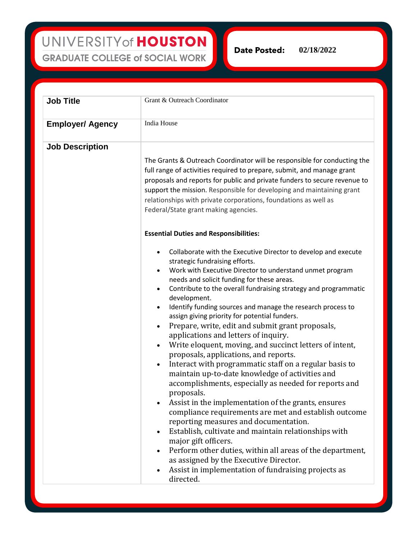UNIVERSITY of HOUSTON **GRADUATE COLLEGE of SOCIAL WORK** 

**Date Posted:** 

**02/18/2022** 

| <b>Job Title</b>        | Grant & Outreach Coordinator                                                                                                                                                                                                                                                                                                                                                                                                                                                                                                                                                                                                                                                                                                                                                                                                                                                                                                                                                                                                                                                                                                                                                                                                                                                                                                                         |
|-------------------------|------------------------------------------------------------------------------------------------------------------------------------------------------------------------------------------------------------------------------------------------------------------------------------------------------------------------------------------------------------------------------------------------------------------------------------------------------------------------------------------------------------------------------------------------------------------------------------------------------------------------------------------------------------------------------------------------------------------------------------------------------------------------------------------------------------------------------------------------------------------------------------------------------------------------------------------------------------------------------------------------------------------------------------------------------------------------------------------------------------------------------------------------------------------------------------------------------------------------------------------------------------------------------------------------------------------------------------------------------|
| <b>Employer/ Agency</b> | India House                                                                                                                                                                                                                                                                                                                                                                                                                                                                                                                                                                                                                                                                                                                                                                                                                                                                                                                                                                                                                                                                                                                                                                                                                                                                                                                                          |
| <b>Job Description</b>  | The Grants & Outreach Coordinator will be responsible for conducting the<br>full range of activities required to prepare, submit, and manage grant<br>proposals and reports for public and private funders to secure revenue to<br>support the mission. Responsible for developing and maintaining grant<br>relationships with private corporations, foundations as well as<br>Federal/State grant making agencies.                                                                                                                                                                                                                                                                                                                                                                                                                                                                                                                                                                                                                                                                                                                                                                                                                                                                                                                                  |
|                         | <b>Essential Duties and Responsibilities:</b><br>Collaborate with the Executive Director to develop and execute<br>$\bullet$<br>strategic fundraising efforts.<br>Work with Executive Director to understand unmet program<br>needs and solicit funding for these areas.<br>Contribute to the overall fundraising strategy and programmatic<br>$\bullet$<br>development.<br>Identify funding sources and manage the research process to<br>assign giving priority for potential funders.<br>Prepare, write, edit and submit grant proposals,<br>$\bullet$<br>applications and letters of inquiry.<br>Write eloquent, moving, and succinct letters of intent,<br>$\bullet$<br>proposals, applications, and reports.<br>Interact with programmatic staff on a regular basis to<br>$\bullet$<br>maintain up-to-date knowledge of activities and<br>accomplishments, especially as needed for reports and<br>proposals.<br>Assist in the implementation of the grants, ensures<br>compliance requirements are met and establish outcome<br>reporting measures and documentation.<br>Establish, cultivate and maintain relationships with<br>major gift officers.<br>Perform other duties, within all areas of the department,<br>as assigned by the Executive Director.<br>Assist in implementation of fundraising projects as<br>$\bullet$<br>directed. |